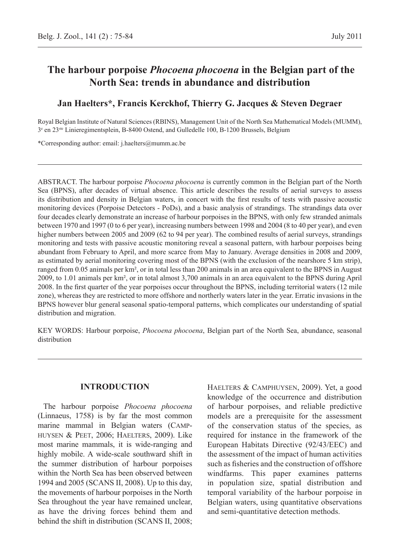# **The harbour porpoise** *Phocoena phocoena* **in the Belgian part of the North Sea: trends in abundance and distribution**

# **Jan Haelters\*, Francis Kerckhof, Thierry G. Jacques & Steven Degraer**

Royal Belgian Institute of Natural Sciences (RBINS), Management Unit of the North Sea Mathematical Models (MUMM), 3e en 23ste Linieregimentsplein, B-8400 Ostend, and Gulledelle 100, B-1200 Brussels, Belgium

\*Corresponding author: email: j.haelters@mumm.ac.be

Abstract. The harbour porpoise *Phocoena phocoena* is currently common in the Belgian part of the North Sea (BPNS), after decades of virtual absence. This article describes the results of aerial surveys to assess its distribution and density in Belgian waters, in concert with the first results of tests with passive acoustic monitoring devices (Porpoise Detectors - PoDs), and a basic analysis of strandings. The strandings data over four decades clearly demonstrate an increase of harbour porpoises in the BPNS, with only few stranded animals between 1970 and 1997 (0 to 6 per year), increasing numbers between 1998 and 2004 (8 to 40 per year), and even higher numbers between 2005 and 2009 (62 to 94 per year). The combined results of aerial surveys, strandings monitoring and tests with passive acoustic monitoring reveal a seasonal pattern, with harbour porpoises being abundant from February to April, and more scarce from May to January. Average densities in 2008 and 2009, as estimated by aerial monitoring covering most of the BPNS (with the exclusion of the nearshore 5 km strip), ranged from 0.05 animals per km², or in total less than 200 animals in an area equivalent to the BPNS in August 2009, to 1.01 animals per km², or in total almost 3,700 animals in an area equivalent to the BPNS during April 2008. In the first quarter of the year porpoises occur throughout the BPNS, including territorial waters (12 mile zone), whereas they are restricted to more offshore and northerly waters later in the year. Erratic invasions in the BPNS however blur general seasonal spatio-temporal patterns, which complicates our understanding of spatial distribution and migration.

Key words: Harbour porpoise, *Phocoena phocoena*, Belgian part of the North Sea, abundance, seasonal distribution

## **Introduction**

The harbour porpoise *Phocoena phocoena* (Linnaeus, 1758) is by far the most common marine mammal in Belgian waters (Camphuysen & Peet, 2006; Haelters, 2009). Like most marine mammals, it is wide-ranging and highly mobile. A wide-scale southward shift in the summer distribution of harbour porpoises within the North Sea has been observed between 1994 and 2005 (SCANS II, 2008). Up to this day, the movements of harbour porpoises in the North Sea throughout the year have remained unclear, as have the driving forces behind them and behind the shift in distribution (SCANS II, 2008; Haelters & Camphuysen, 2009). Yet, a good knowledge of the occurrence and distribution of harbour porpoises, and reliable predictive models are a prerequisite for the assessment of the conservation status of the species, as required for instance in the framework of the European Habitats Directive (92/43/EEC) and the assessment of the impact of human activities such as fisheries and the construction of offshore windfarms. This paper examines patterns in population size, spatial distribution and temporal variability of the harbour porpoise in Belgian waters, using quantitative observations and semi-quantitative detection methods.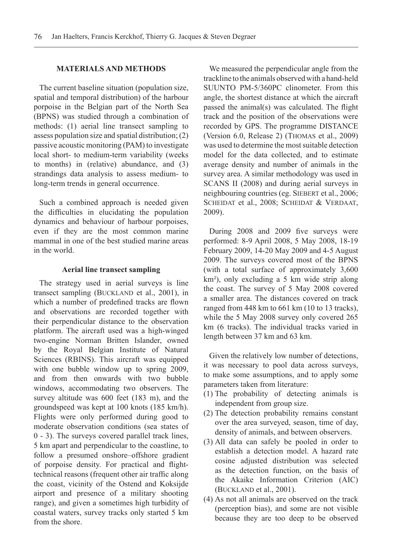#### **MATERIALS AND METHODS**

The current baseline situation (population size, spatial and temporal distribution) of the harbour porpoise in the Belgian part of the North Sea (BPNS) was studied through a combination of methods: (1) aerial line transect sampling to assess population size and spatial distribution; (2) passive acoustic monitoring (PAM) to investigate local short- to medium-term variability (weeks to months) in (relative) abundance, and (3) strandings data analysis to assess medium- to long-term trends in general occurrence.

Such a combined approach is needed given the difficulties in elucidating the population dynamics and behaviour of harbour porpoises, even if they are the most common marine mammal in one of the best studied marine areas in the world.

#### **Aerial line transect sampling**

The strategy used in aerial surveys is line transect sampling (BUCKLAND et al., 2001), in which a number of predefined tracks are flown and observations are recorded together with their perpendicular distance to the observation platform. The aircraft used was a high-winged two-engine Norman Britten Islander, owned by the Royal Belgian Institute of Natural Sciences (RBINS). This aircraft was equipped with one bubble window up to spring 2009, and from then onwards with two bubble windows, accommodating two observers. The survey altitude was 600 feet (183 m), and the groundspeed was kept at 100 knots (185 km/h). Flights were only performed during good to moderate observation conditions (sea states of 0 - 3). The surveys covered parallel track lines, 5 km apart and perpendicular to the coastline, to follow a presumed onshore–offshore gradient of porpoise density. For practical and flighttechnical reasons (frequent other air traffic along the coast, vicinity of the Ostend and Koksijde airport and presence of a military shooting range), and given a sometimes high turbidity of coastal waters, survey tracks only started 5 km from the shore.

We measured the perpendicular angle from the trackline to the animals observed with a hand-held SUUNTO PM-5/360PC clinometer. From this angle, the shortest distance at which the aircraft passed the animal(s) was calculated. The flight track and the position of the observations were recorded by GPS. The programme DISTANCE (Version 6.0, Release 2) (Thomas et al., 2009) was used to determine the most suitable detection model for the data collected, and to estimate average density and number of animals in the survey area. A similar methodology was used in SCANS II (2008) and during aerial surveys in neighbouring countries (eg. SIEBERT et al., 2006; SCHEIDAT et al., 2008; SCHEIDAT & VERDAAT, 2009).

During 2008 and 2009 five surveys were performed: 8-9 April 2008, 5 May 2008, 18-19 February 2009, 14-20 May 2009 and 4-5 August 2009. The surveys covered most of the BPNS (with a total surface of approximately 3,600 km²), only excluding a 5 km wide strip along the coast. The survey of 5 May 2008 covered a smaller area. The distances covered on track ranged from 448 km to 661 km (10 to 13 tracks), while the 5 May 2008 survey only covered 265 km (6 tracks). The individual tracks varied in length between 37 km and 63 km.

Given the relatively low number of detections, it was necessary to pool data across surveys, to make some assumptions, and to apply some parameters taken from literature:

- (1) The probability of detecting animals is independent from group size.
- (2) The detection probability remains constant over the area surveyed, season, time of day, density of animals, and between observers.
- (3) All data can safely be pooled in order to establish a detection model. A hazard rate cosine adjusted distribution was selected as the detection function, on the basis of the Akaike Information Criterion (AIC) (Buckland et al., 2001).
- (4) As not all animals are observed on the track (perception bias), and some are not visible because they are too deep to be observed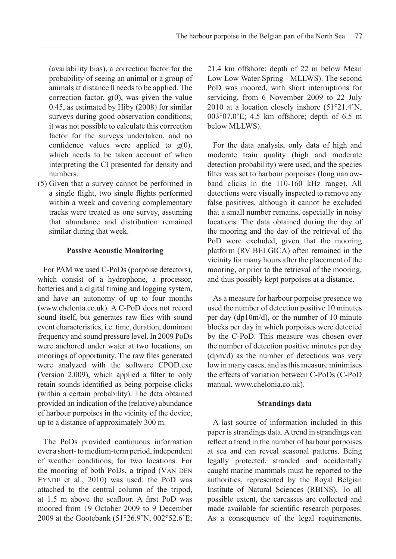(availability bias), a correction factor for the probability of seeing an animal or a group of animals at distance 0 needs to be applied. The correction factor,  $g(0)$ , was given the value 0.45, as estimated by Hiby (2008) for similar surveys during good observation conditions; it was not possible to calculate this correction factor for the surveys undertaken, and no confidence values were applied to  $g(0)$ , which needs to be taken account of when interpreting the CI presented for density and numbers.

(5) Given that a survey cannot be performed in a single flight, two single flights performed within a week and covering complementary tracks were treated as one survey, assuming that abundance and distribution remained similar during that week.

## **Passive Acoustic Monitoring**

For PAM we used C-PoDs (porpoise detectors), which consist of a hydrophone, a processor, batteries and a digital timing and logging system, and have an autonomy of up to four months (www.chelonia.co.uk). A C-PoD does not record sound itself, but generates raw files with sound event characteristics, i.e. time, duration, dominant frequency and sound pressure level. In 2009 PoDs were anchored under water at two locations, on moorings of opportunity. The raw files generated were analyzed with the software CPOD.exe (Version 2.009), which applied a filter to only retain sounds identified as being porpoise clicks (within a certain probability). The data obtained provided an indication of the (relative) abundance of harbour porpoises in the vicinity of the device, up to a distance of approximately 300 m.

The PoDs provided continuous information over a short- to medium-term period, independent of weather conditions, for two locations. For the mooring of both PoDs, a tripod (VAN DEN Eynde et al., 2010) was used: the PoD was attached to the central column of the tripod, at 1.5 m above the seafloor. A first PoD was moored from 19 October 2009 to 9 December 2009 at the Gootebank (51°26.9'N, 002°52.6'E; 21.4 km offshore; depth of 22 m below Mean Low Low Water Spring - MLLWS). The second PoD was moored, with short interruptions for servicing, from 6 November 2009 to 22 July 2010 at a location closely inshore (51°21.4'N, 003°07.0'E; 4.5 km offshore; depth of 6.5 m below MLLWS).

For the data analysis, only data of high and moderate train quality (high and moderate detection probability) were used, and the species filter was set to harbour porpoises (long narrowband clicks in the 110-160 kHz range). All detections were visually inspected to remove any false positives, although it cannot be excluded that a small number remains, especially in noisy locations. The data obtained during the day of the mooring and the day of the retrieval of the PoD were excluded, given that the mooring platform (RV BELGICA) often remained in the vicinity for many hours after the placement of the mooring, or prior to the retrieval of the mooring, and thus possibly kept porpoises at a distance.

As a measure for harbour porpoise presence we used the number of detection positive 10 minutes per day (dp10m/d), or the number of 10 minute blocks per day in which porpoises were detected by the C-PoD. This measure was chosen over the number of detection positive minutes per day (dpm/d) as the number of detections was very low in many cases, and as this measure minimises the effects of variation between C-PoDs (C-PoD manual, www.chelonia.co.uk).

## **Strandings data**

A last source of information included in this paper is strandings data. A trend in strandings can reflect a trend in the number of harbour porpoises at sea and can reveal seasonal patterns. Being legally protected, stranded and accidentally caught marine mammals must be reported to the authorities, represented by the Royal Belgian Institute of Natural Sciences (RBINS). To all possible extent, the carcasses are collected and made available for scientific research purposes. As a consequence of the legal requirements,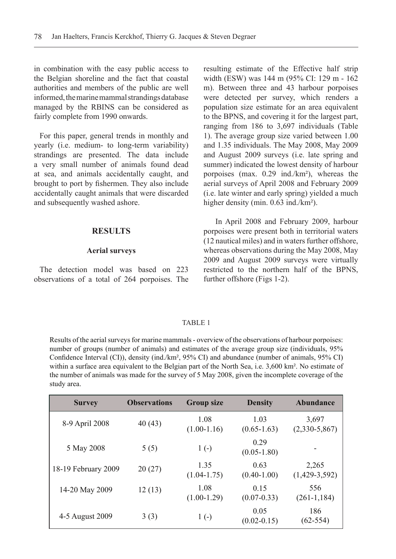in combination with the easy public access to the Belgian shoreline and the fact that coastal authorities and members of the public are well informed, the marine mammal strandings database managed by the RBINS can be considered as fairly complete from 1990 onwards.

For this paper, general trends in monthly and yearly (i.e. medium- to long-term variability) strandings are presented. The data include a very small number of animals found dead at sea, and animals accidentally caught, and brought to port by fishermen. They also include accidentally caught animals that were discarded and subsequently washed ashore.

#### **RESULTS**

#### **Aerial surveys**

The detection model was based on 223 observations of a total of 264 porpoises. The resulting estimate of the Effective half strip width (ESW) was 144 m (95% CI: 129 m - 162 m). Between three and 43 harbour porpoises were detected per survey, which renders a population size estimate for an area equivalent to the BPNS, and covering it for the largest part, ranging from 186 to 3,697 individuals (Table 1). The average group size varied between 1.00 and 1.35 individuals. The May 2008, May 2009 and August 2009 surveys (i.e. late spring and summer) indicated the lowest density of harbour porpoises (max. 0.29 ind./km²), whereas the aerial surveys of April 2008 and February 2009 (i.e. late winter and early spring) yielded a much higher density (min. 0.63 ind./km<sup>2</sup>).

In April 2008 and February 2009, harbour porpoises were present both in territorial waters (12 nautical miles) and in waters further offshore, whereas observations during the May 2008, May 2009 and August 2009 surveys were virtually restricted to the northern half of the BPNS, further offshore (Figs 1-2).

#### TABLE 1

Results of the aerial surveys for marine mammals - overview of the observations of harbour porpoises: number of groups (number of animals) and estimates of the average group size (individuals, 95% Confidence Interval (CI)), density (ind./km², 95% CI) and abundance (number of animals, 95% CI) within a surface area equivalent to the Belgian part of the North Sea, i.e. 3,600 km². No estimate of the number of animals was made for the survey of 5 May 2008, given the incomplete coverage of the study area.

| <b>Survey</b>       | <b>Observations</b> | <b>Group size</b>       | <b>Density</b>          | Abundance                |  |  |  |
|---------------------|---------------------|-------------------------|-------------------------|--------------------------|--|--|--|
| 8-9 April 2008      | 40(43)              | 1.08<br>$(1.00-1.16)$   | 1.03<br>$(0.65-1.63)$   | 3,697<br>$(2,330-5,867)$ |  |  |  |
| 5 May 2008          | 5(5)                | $1(-)$                  | 0.29<br>$(0.05-1.80)$   |                          |  |  |  |
| 18-19 February 2009 | 20(27)              | 1.35<br>$(1.04 - 1.75)$ | 0.63<br>$(0.40 - 1.00)$ | 2,265<br>$(1,429-3,592)$ |  |  |  |
| 14-20 May 2009      | 12(13)              | 1.08<br>$(1.00-1.29)$   | 0.15<br>$(0.07 - 0.33)$ | 556<br>$(261-1, 184)$    |  |  |  |
| 4-5 August 2009     | 3(3)                | $1(-)$                  | 0.05<br>$(0.02 - 0.15)$ | 186<br>$(62 - 554)$      |  |  |  |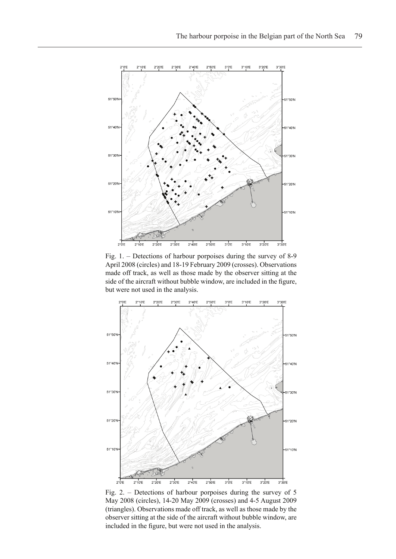

Fig. 1. – Detections of harbour porpoises during the survey of 8-9 April 2008 (circles) and 18-19 February 2009 (crosses). Observations made off track, as well as those made by the observer sitting at the side of the aircraft without bubble window, are included in the figure, but were not used in the analysis.



Fig. 2. – Detections of harbour porpoises during the survey of 5 May 2008 (circles), 14-20 May 2009 (crosses) and 4-5 August 2009 (triangles). Observations made off track, as well as those made by the observer sitting at the side of the aircraft without bubble window, are included in the figure, but were not used in the analysis.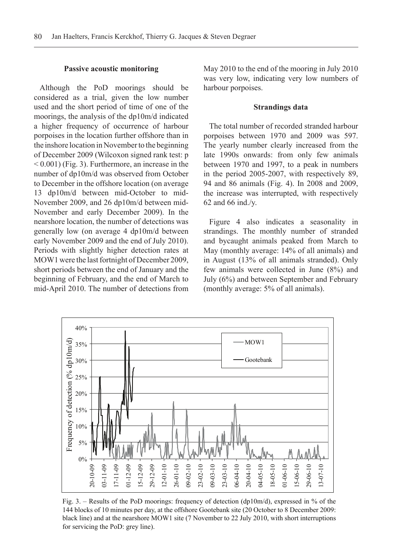#### **Passive acoustic monitoring**

Although the PoD moorings should be considered as a trial, given the low number used and the short period of time of one of the moorings, the analysis of the dp10m/d indicated a higher frequency of occurrence of harbour porpoises in the location further offshore than in the inshore location in November to the beginning of December 2009 (Wilcoxon signed rank test: p  $< 0.001$ ) (Fig. 3). Furthermore, an increase in the number of dp10m/d was observed from October to December in the offshore location (on average 13 dp10m/d between mid-October to mid-November 2009, and 26 dp10m/d between mid-November and early December 2009). In the nearshore location, the number of detections was generally low (on average 4 dp10m/d between early November 2009 and the end of July 2010). Periods with slightly higher detection rates at MOW1 were the last fortnight of December 2009, short periods between the end of January and the beginning of February, and the end of March to mid-April 2010. The number of detections from

May 2010 to the end of the mooring in July 2010 was very low, indicating very low numbers of harbour porpoises.

## **Strandings data**

The total number of recorded stranded harbour porpoises between 1970 and 2009 was 597. The yearly number clearly increased from the late 1990s onwards: from only few animals between 1970 and 1997, to a peak in numbers in the period 2005-2007, with respectively 89, 94 and 86 animals (Fig. 4). In 2008 and 2009, the increase was interrupted, with respectively 62 and 66 ind./y.

Figure 4 also indicates a seasonality in strandings. The monthly number of stranded and bycaught animals peaked from March to May (monthly average: 14% of all animals) and in August (13% of all animals stranded). Only few animals were collected in June (8%) and July (6%) and between September and February (monthly average: 5% of all animals).



Fig. 3. – Results of the PoD moorings: frequency of detection (dp10m/d), expressed in % of the 144 blocks of 10 minutes per day, at the offshore Gootebank site (20 October to 8 December 2009: black line) and at the nearshore MOW1 site (7 November to 22 July 2010, with short interruptions for servicing the PoD: grey line).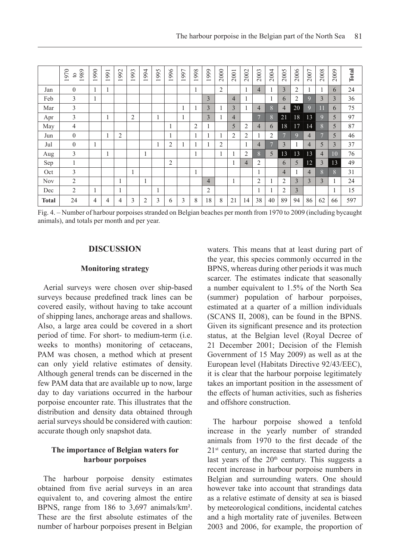|              | 1970<br>1989<br>$\circ$ | 990<br>$\overline{\phantom{0}}$ | 1991 | 992<br>$\overline{\phantom{0}}$ | 1993           | 1994 | 1995 | 1996           | 1997 | 1998 | 1999           | 2000           | 2001           | 2002           | 2003           | 2004           | 2005           | 2006           | 2007           | 2008           | 2009           | Total |
|--------------|-------------------------|---------------------------------|------|---------------------------------|----------------|------|------|----------------|------|------|----------------|----------------|----------------|----------------|----------------|----------------|----------------|----------------|----------------|----------------|----------------|-------|
| Jan          | $\theta$                |                                 | -1   |                                 |                |      |      |                |      |      |                | $\overline{2}$ |                | $\mathbf{I}$   | 4              |                | $\overline{3}$ | 2              |                |                | 6              | 24    |
| Feb          | 3                       | -                               |      |                                 |                |      |      |                |      |      | 3              |                | $\overline{4}$ |                |                |                | 6              | $\overline{c}$ | 9              | 3              | 3              | 36    |
| Mar          | 3                       |                                 |      |                                 |                |      |      |                |      |      | 3              | -1             | 3              | $\mathbf{I}$   | 4              | 8              | $\overline{4}$ | 20             | 9              | 11             | 6              | 75    |
| Apr          | 3                       |                                 | ш    |                                 | $\overline{c}$ |      |      |                |      |      | 3              |                | 4              |                | $\overline{7}$ | 8              | 21             | 18             | 13             | $\mathbf Q$    | 5              | 97    |
| May          | 4                       |                                 |      |                                 |                |      |      |                |      | 2    |                |                | 5              | $\overline{2}$ | 4              | 6              | 18             | 17             | 14             | 8              | 5              | 87    |
| Jun          | $\overline{0}$          |                                 | -1   | 2                               |                |      |      |                |      |      |                |                | 2              | 2              |                | 2              | $\overline{ }$ | <sup>9</sup>   | $\overline{4}$ | $\overline{ }$ | 5              | 46    |
| Jul          | $\mathbf{0}$            |                                 |      |                                 |                |      |      | 2              |      |      |                | $\overline{2}$ |                | 1              | 4              | $\overline{7}$ | 3              |                | 4              | 5              | 3              | 37    |
| Aug          | 3                       |                                 | -1   |                                 |                |      |      |                |      |      |                |                |                | 2              | 8              | 5              | 13             | 13             | 13             | $\overline{4}$ | 1 <sub>0</sub> | 76    |
| Sep          | 1                       |                                 |      |                                 |                |      |      | $\overline{c}$ |      |      |                |                | 1              | $\overline{4}$ | 2              |                | 6              | 5              | 12             | 3              | 13             | 49    |
| Oct          | 3                       |                                 |      |                                 |                |      |      |                |      |      |                |                |                |                |                |                | $\overline{4}$ |                | 4              | 8              | 8              | 31    |
| <b>Nov</b>   | 2                       |                                 |      | 1                               |                | -1   |      |                |      |      | $\overline{4}$ |                | 1              |                | $\overline{2}$ |                | 2              | 3              | $\overline{3}$ | 3              | 1              | 24    |
| Dec          | 2                       |                                 |      | 1                               |                |      |      |                |      |      | $\overline{2}$ |                |                |                |                |                | 2              | 3              |                |                | 1              | 15    |
| <b>Total</b> | 24                      | 4                               | 4    | 4                               | 3              | 2    | 3    | 6              | 3    | 8    | 18             | 8              | 21             | 14             | 38             | 40             | 89             | 94             | 86             | 62             | 66             | 597   |

Fig. 4. – Number of harbour porpoises stranded on Belgian beaches per month from 1970 to 2009 (including bycaught animals), and totals per month and per year.

### **DISCUSSION**

#### **Monitoring strategy**

Aerial surveys were chosen over ship-based surveys because predefined track lines can be covered easily, without having to take account of shipping lanes, anchorage areas and shallows. Also, a large area could be covered in a short period of time. For short- to medium-term (i.e. weeks to months) monitoring of cetaceans, PAM was chosen, a method which at present can only yield relative estimates of density. Although general trends can be discerned in the few PAM data that are available up to now, large day to day variations occurred in the harbour porpoise encounter rate. This illustrates that the distribution and density data obtained through aerial surveys should be considered with caution: accurate though only snapshot data.

## **The importance of Belgian waters for harbour porpoises**

The harbour porpoise density estimates obtained from five aerial surveys in an area equivalent to, and covering almost the entire BPNS, range from 186 to 3,697 animals/km². These are the first absolute estimates of the number of harbour porpoises present in Belgian waters. This means that at least during part of the year, this species commonly occurred in the BPNS, whereas during other periods it was much scarcer. The estimates indicate that seasonally a number equivalent to 1.5% of the North Sea (summer) population of harbour porpoises, estimated at a quarter of a million individuals (SCANS II, 2008), can be found in the BPNS. Given its significant presence and its protection status, at the Belgian level (Royal Decree of 21 December 2001; Decision of the Flemish Government of 15 May 2009) as well as at the European level (Habitats Directive 92/43/EEC), it is clear that the harbour porpoise legitimately takes an important position in the assessment of the effects of human activities, such as fisheries and offshore construction.

The harbour porpoise showed a tenfold increase in the yearly number of stranded animals from 1970 to the first decade of the  $21<sup>st</sup>$  century, an increase that started during the last years of the  $20<sup>th</sup>$  century. This suggests a recent increase in harbour porpoise numbers in Belgian and surrounding waters. One should however take into account that strandings data as a relative estimate of density at sea is biased by meteorological conditions, incidental catches and a high mortality rate of juveniles. Between 2003 and 2006, for example, the proportion of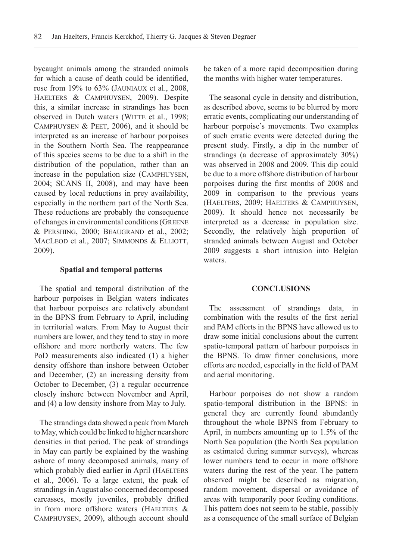bycaught animals among the stranded animals for which a cause of death could be identified rose from 19% to 63% (Jauniaux et al., 2008, Haelters & Camphuysen, 2009). Despite this, a similar increase in strandings has been observed in Dutch waters (WITTE et al., 1998; Camphuysen & Peet, 2006), and it should be interpreted as an increase of harbour porpoises in the Southern North Sea. The reappearance of this species seems to be due to a shift in the distribution of the population, rather than an increase in the population size (Camphuysen, 2004; SCANS II, 2008), and may have been caused by local reductions in prey availability, especially in the northern part of the North Sea. These reductions are probably the consequence of changes in environmental conditions (Greene & Pershing, 2000; Beaugrand et al., 2002; MACLEOD et al., 2007; SIMMONDS & ELLIOTT, 2009).

#### **Spatial and temporal patterns**

The spatial and temporal distribution of the harbour porpoises in Belgian waters indicates that harbour porpoises are relatively abundant in the BPNS from February to April, including in territorial waters. From May to August their numbers are lower, and they tend to stay in more offshore and more northerly waters. The few PoD measurements also indicated (1) a higher density offshore than inshore between October and December, (2) an increasing density from October to December, (3) a regular occurrence closely inshore between November and April, and (4) a low density inshore from May to July.

The strandings data showed a peak from March to May, which could be linked to higher nearshore densities in that period. The peak of strandings in May can partly be explained by the washing ashore of many decomposed animals, many of which probably died earlier in April (HAELTERS et al., 2006). To a large extent, the peak of strandings in August also concerned decomposed carcasses, mostly juveniles, probably drifted in from more offshore waters (HAELTERS  $\&$ Camphuysen, 2009), although account should

be taken of a more rapid decomposition during the months with higher water temperatures.

The seasonal cycle in density and distribution, as described above, seems to be blurred by more erratic events, complicating our understanding of harbour porpoise's movements. Two examples of such erratic events were detected during the present study. Firstly, a dip in the number of strandings (a decrease of approximately 30%) was observed in 2008 and 2009. This dip could be due to a more offshore distribution of harbour porpoises during the first months of 2008 and 2009 in comparison to the previous years (Haelters, 2009; Haelters & Camphuysen, 2009). It should hence not necessarily be interpreted as a decrease in population size. Secondly, the relatively high proportion of stranded animals between August and October 2009 suggests a short intrusion into Belgian waters.

#### **CONCLUSIONS**

The assessment of strandings data, in combination with the results of the first aerial and PAM efforts in the BPNS have allowed us to draw some initial conclusions about the current spatio-temporal pattern of harbour porpoises in the BPNS. To draw firmer conclusions, more efforts are needed, especially in the field of PAM and aerial monitoring.

Harbour porpoises do not show a random spatio-temporal distribution in the BPNS: in general they are currently found abundantly throughout the whole BPNS from February to April, in numbers amounting up to 1.5% of the North Sea population (the North Sea population as estimated during summer surveys), whereas lower numbers tend to occur in more offshore waters during the rest of the year. The pattern observed might be described as migration, random movement, dispersal or avoidance of areas with temporarily poor feeding conditions. This pattern does not seem to be stable, possibly as a consequence of the small surface of Belgian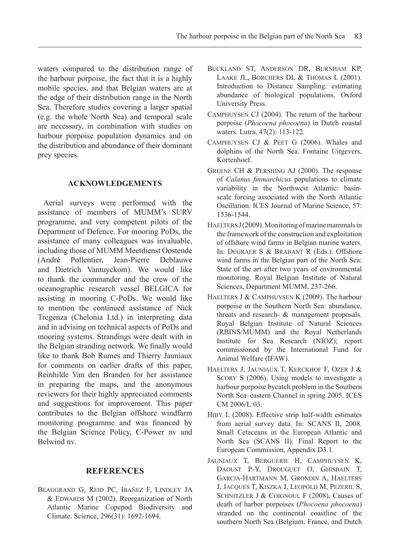waters compared to the distribution range of the harbour porpoise, the fact that it is a highly mobile species, and that Belgian waters are at the edge of their distribution range in the North Sea. Therefore studies covering a larger spatial (e.g. the whole North Sea) and temporal scale are necessary, in combination with studies on harbour porpoise population dynamics and on the distribution and abundance of their dominant prey species.

#### **Acknowledgements**

Aerial surveys were performed with the assistance of members of MUMM's SURV programme, and very competent pilots of the Department of Defence. For mooring PoDs, the assistance of many colleagues was invaluable, including those of MUMM Meetdienst Oostende (André Pollentier, Jean-Pierre Deblauwe and Dietrich Vantuyckom). We would like to thank the commander and the crew of the oceanographic research vessel BELGICA for assisting in mooring C-PoDs. We would like to mention the continued assistance of Nick Tregenza (Chelonia Ltd.) in interpreting data and in advising on technical aspects of PoDs and mooring systems. Strandings were dealt with in the Belgian stranding network. We finally would like to thank Bob Rumes and Thierry Jauniaux for comments on earlier drafts of this paper, Reinhilde Van den Branden for her assistance in preparing the maps, and the anonymous reviewers for their highly appreciated comments and suggestions for improvement. This paper contributes to the Belgian offshore windfarm monitoring programme and was financed by the Belgian Science Policy, C-Power nv and Belwind nv.

#### **REFERENCES**

Beaugrand G, Reid PC, Ibañez F, Lindley JA & Edwards M (2002). Reorganization of North Atlantic Marine Copepod Biodiversity and Climate. Science, 296(31): 1692-1694.

- Buckland ST, Anderson DR, Burnham KP, Laake JL, Borchers DL & Thomas L (2001). Introduction to Distance Sampling: estimating abundance of biological populations. Oxford University Press.
- Camphuysen CJ (2004). The return of the harbour porpoise (*Phocoena phocoena*) in Dutch coastal waters. Lutra, 47(2): 113-122.
- Camphuysen CJ & Peet G (2006). Whales and dolphins of the North Sea. Fontaine Uitgevers, Kortenhoef.
- Greene CH & Pershing AJ (2000). The response of *Calanus finmarchicus* populations to climate variability in the Northwest Atlantic: basinscale forcing associated with the North Atlantic Oscillation. ICES Journal of Marine Science, 57: 1536-1544.
- $HAELTERS J (2009)$ . Monitoring of marine mammals in the framework of the construction and exploitation of offshore wind farms in Belgian marine waters. In: Degraer S & Brabant R (Eds.). Offshore wind farms in the Belgian part of the North Sea: State of the art after two years of environmental monitoring. Royal Belgian Institute of Natural Sciences, Department MUMM, 237-266.
- Haelters J & Camphuysen K (2009). The harbour porpoise in the Southern North Sea: abundance, threats and research- & management proposals. Royal Belgian Institute of Natural Sciences (RBINS/MUMM) and the Royal Netherlands Institute for Sea Research (NIOZ); report commissioned by the International Fund for Animal Welfare (IFAW).
- Haelters J, Jauniaux T, Kerckhof F, Ozer J & SCORY S (2006). Using models to investigate a harbour porpoise bycatch problem in the Southern North Sea–eastern Channel in spring 2005. ICES CM 2006/L:03.
- Hiby L (2008). Effective strip half-width estimates from aerial survey data. In: SCANS II, 2008. Small Cetaceans in the European Atlantic and North Sea (SCANS II). Final Report to the European Commission, Appendix D3.1.
- Jauniaux T, Berguerie H, Camphuysen K, DAOUST P-Y, DROUGUET O, GHISBAIN T, Garcia-Hartmann M, Grondin A, Haelters J, Jacques T, Kiszka J, Leopold M, Pezeril S, SCHNITZLER J & COIGNOUL F (2008). Causes of death of harbor porpoises (*Phocoena phocoena*) stranded on the continental coastline of the southern North Sea (Belgium, France, and Dutch